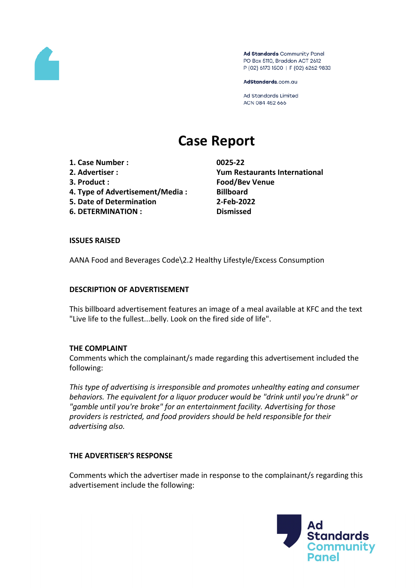

Ad Standards Community Panel PO Box 5110, Braddon ACT 2612 P (02) 6173 1500 | F (02) 6262 9833

AdStandards.com.au

Ad Standards Limited ACN 084 452 666

# **Case Report**

**1. Case Number : 0025-22**

- 
- 
- **4. Type of Advertisement/Media : Billboard**
- **5. Date of Determination 2-Feb-2022**
- **6. DETERMINATION : Dismissed**

**2. Advertiser : Yum Restaurants International 3. Product : Food/Bev Venue**

## **ISSUES RAISED**

AANA Food and Beverages Code\2.2 Healthy Lifestyle/Excess Consumption

## **DESCRIPTION OF ADVERTISEMENT**

This billboard advertisement features an image of a meal available at KFC and the text "Live life to the fullest...belly. Look on the fired side of life".

### **THE COMPLAINT**

Comments which the complainant/s made regarding this advertisement included the following:

*This type of advertising is irresponsible and promotes unhealthy eating and consumer behaviors. The equivalent for a liquor producer would be "drink until you're drunk" or "gamble until you're broke" for an entertainment facility. Advertising for those providers is restricted, and food providers should be held responsible for their advertising also.*

# **THE ADVERTISER'S RESPONSE**

Comments which the advertiser made in response to the complainant/s regarding this advertisement include the following:

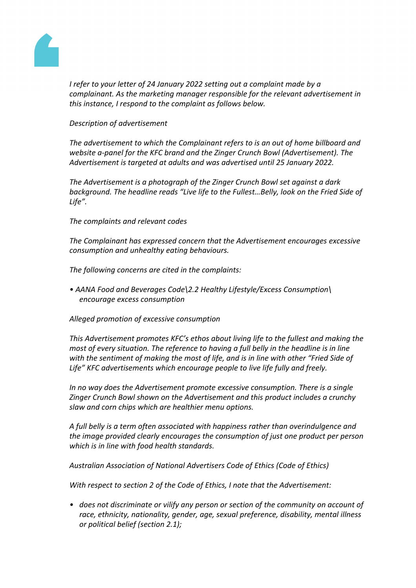

*I refer to your letter of 24 January 2022 setting out a complaint made by a complainant. As the marketing manager responsible for the relevant advertisement in this instance, I respond to the complaint as follows below.*

# *Description of advertisement*

*The advertisement to which the Complainant refers to is an out of home billboard and website a-panel for the KFC brand and the Zinger Crunch Bowl (Advertisement). The Advertisement is targeted at adults and was advertised until 25 January 2022.*

*The Advertisement is a photograph of the Zinger Crunch Bowl set against a dark background. The headline reads "Live life to the Fullest…Belly, look on the Fried Side of Life".*

*The complaints and relevant codes*

*The Complainant has expressed concern that the Advertisement encourages excessive consumption and unhealthy eating behaviours.*

*The following concerns are cited in the complaints:*

*• AANA Food and Beverages Code\2.2 Healthy Lifestyle/Excess Consumption\ encourage excess consumption*

*Alleged promotion of excessive consumption* 

*This Advertisement promotes KFC's ethos about living life to the fullest and making the most of every situation. The reference to having a full belly in the headline is in line with the sentiment of making the most of life, and is in line with other "Fried Side of Life" KFC advertisements which encourage people to live life fully and freely.*

*In no way does the Advertisement promote excessive consumption. There is a single Zinger Crunch Bowl shown on the Advertisement and this product includes a crunchy slaw and corn chips which are healthier menu options.*

*A full belly is a term often associated with happiness rather than overindulgence and the image provided clearly encourages the consumption of just one product per person which is in line with food health standards.*

*Australian Association of National Advertisers Code of Ethics (Code of Ethics)*

*With respect to section 2 of the Code of Ethics, I note that the Advertisement:*

*• does not discriminate or vilify any person or section of the community on account of race, ethnicity, nationality, gender, age, sexual preference, disability, mental illness or political belief (section 2.1);*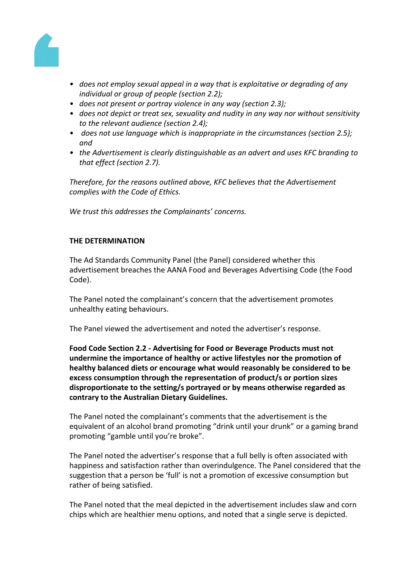

- *• does not employ sexual appeal in a way that is exploitative or degrading of any individual or group of people (section 2.2);*
- *• does not present or portray violence in any way (section 2.3);*
- *• does not depict or treat sex, sexuality and nudity in any way nor without sensitivity to the relevant audience (section 2.4);*
- *• does not use language which is inappropriate in the circumstances (section 2.5); and*
- *• the Advertisement is clearly distinguishable as an advert and uses KFC branding to that effect (section 2.7).*

*Therefore, for the reasons outlined above, KFC believes that the Advertisement complies with the Code of Ethics.*

*We trust this addresses the Complainants' concerns.*

### **THE DETERMINATION**

The Ad Standards Community Panel (the Panel) considered whether this advertisement breaches the AANA Food and Beverages Advertising Code (the Food Code).

The Panel noted the complainant's concern that the advertisement promotes unhealthy eating behaviours.

The Panel viewed the advertisement and noted the advertiser's response.

**Food Code Section 2.2 - Advertising for Food or Beverage Products must not undermine the importance of healthy or active lifestyles nor the promotion of healthy balanced diets or encourage what would reasonably be considered to be excess consumption through the representation of product/s or portion sizes disproportionate to the setting/s portrayed or by means otherwise regarded as contrary to the Australian Dietary Guidelines.**

The Panel noted the complainant's comments that the advertisement is the equivalent of an alcohol brand promoting "drink until your drunk" or a gaming brand promoting "gamble until you're broke".

The Panel noted the advertiser's response that a full belly is often associated with happiness and satisfaction rather than overindulgence. The Panel considered that the suggestion that a person be 'full' is not a promotion of excessive consumption but rather of being satisfied.

The Panel noted that the meal depicted in the advertisement includes slaw and corn chips which are healthier menu options, and noted that a single serve is depicted.